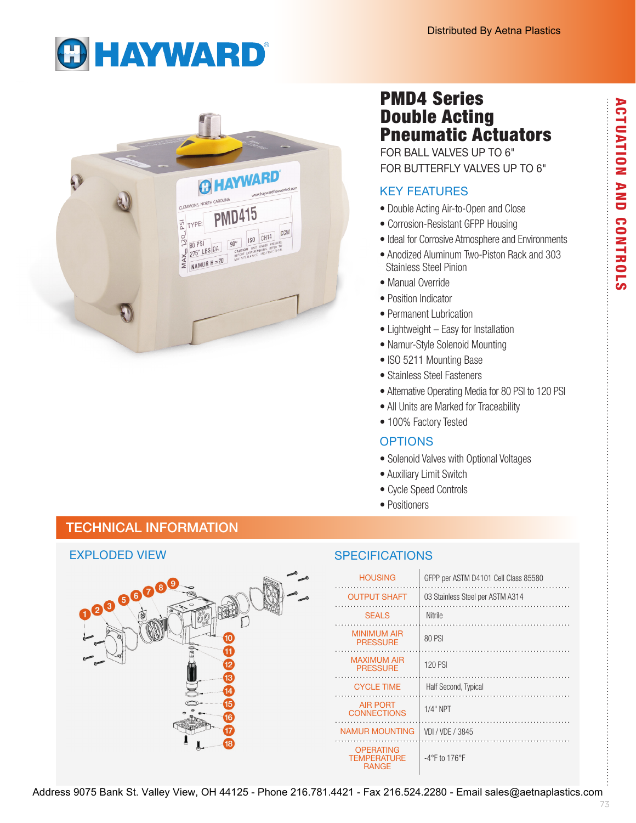# **GHAYWARD®**



# PMD4 Series Double Acting Pneumatic Actuators

FOR BALL VALVES UP TO 6" FOR BUTTERFLY VALVES UP TO 6"

# KEY FEATURES

- Double Acting Air-to-Open and Close
- Corrosion-Resistant GFPP Housing
- Ideal for Corrosive Atmosphere and Environments
- Anodized Aluminum Two-Piston Rack and 303 Stainless Steel Pinion
- Manual Override
- Position Indicator
- Permanent Lubrication
- Lightweight Easy for Installation
- Namur-Style Solenoid Mounting
- ISO 5211 Mounting Base
- Stainless Steel Fasteners
- Alternative Operating Media for 80 PSI to 120 PSI
- All Units are Marked for Traceability
- 100% Factory Tested

#### **OPTIONS**

- Solenoid Valves with Optional Voltages
- Auxiliary Limit Switch
- Cycle Speed Controls
- Positioners

# TECHNICAL INFORMATION

# EXPLODED VIEW  $\bm{e}^{\bm{\Theta}^{\bm{\Theta}}}$

### **SPECIFICATIONS**

| <b>HOUSING</b>                                         | GFPP per ASTM D4101 Cell Class 85580 |
|--------------------------------------------------------|--------------------------------------|
| <b>OUTPUT SHAFT</b>                                    | 03 Stainless Steel per ASTM A314     |
| <b>SEALS</b>                                           | Nitrile                              |
| <b>MINIMUM AIR</b><br><b>PRESSURE</b>                  | 80 PSI                               |
| <b>MAXIMUM AIR</b><br><b>PRESSURE</b>                  | 120 PSI                              |
| <b>CYCLE TIME</b>                                      | Half Second, Typical                 |
| <b>AIR PORT</b><br><b>CONNECTIONS</b>                  | $1/4"$ NPT                           |
| NAMUR MOUNTING                                         | VDI / VDE / 3845                     |
| <b>OPERATING</b><br><b>TEMPERATURE</b><br><b>RANGE</b> | $-4$ °F to 176°F                     |

ACTUATION AND CONTROLS **ACTUATION AND CONTROLS** 

- -
	-